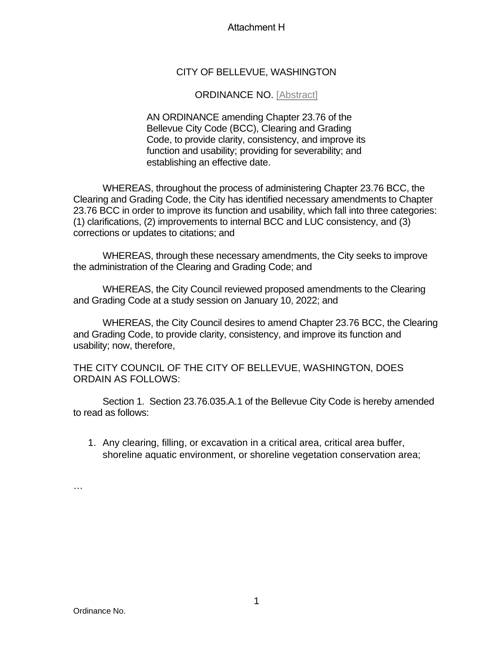## Attachment H

## CITY OF BELLEVUE, WASHINGTON

## ORDINANCE NO. [Abstract]

AN ORDINANCE amending Chapter 23.76 of the Bellevue City Code (BCC), Clearing and Grading Code, to provide clarity, consistency, and improve its function and usability; providing for severability; and establishing an effective date.

WHEREAS, throughout the process of administering Chapter 23.76 BCC, the Clearing and Grading Code, the City has identified necessary amendments to Chapter 23.76 BCC in order to improve its function and usability, which fall into three categories: (1) clarifications, (2) improvements to internal BCC and LUC consistency, and (3) corrections or updates to citations; and

WHEREAS, through these necessary amendments, the City seeks to improve the administration of the Clearing and Grading Code; and

WHEREAS, the City Council reviewed proposed amendments to the Clearing and Grading Code at a study session on January 10, 2022; and

WHEREAS, the City Council desires to amend Chapter 23.76 BCC, the Clearing and Grading Code, to provide clarity, consistency, and improve its function and usability; now, therefore,

THE CITY COUNCIL OF THE CITY OF BELLEVUE, WASHINGTON, DOES ORDAIN AS FOLLOWS:

Section 1. Section 23.76.035.A.1 of the Bellevue City Code is hereby amended to read as follows:

1. Any clearing, filling, or excavation in a critical area, critical area buffer, shoreline aquatic environment, or shoreline vegetation conservation area;

…